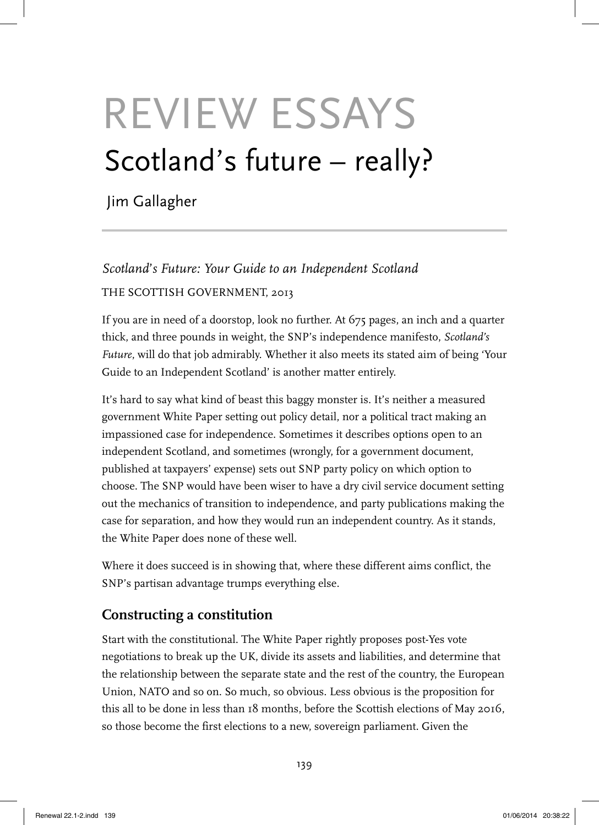# REVIEW ESSAYS Scotland's future – really?

Jim Gallagher

*Scotland*'*s Future: Your Guide to an Independent Scotland* THE SCOTTISH GOVERNMENT, 2013

If you are in need of a doorstop, look no further. At 675 pages, an inch and a quarter thick, and three pounds in weight, the SNP's independence manifesto, *Scotland's Future*, will do that job admirably. Whether it also meets its stated aim of being 'Your Guide to an Independent Scotland' is another matter entirely.

It's hard to say what kind of beast this baggy monster is. It's neither a measured government White Paper setting out policy detail, nor a political tract making an impassioned case for independence. Sometimes it describes options open to an independent Scotland, and sometimes (wrongly, for a government document, published at taxpayers' expense) sets out SNP party policy on which option to choose. The SNP would have been wiser to have a dry civil service document setting out the mechanics of transition to independence, and party publications making the case for separation, and how they would run an independent country. As it stands, the White Paper does none of these well.

Where it does succeed is in showing that, where these different aims conflict, the SNP's partisan advantage trumps everything else.

## **Constructing a constitution**

Start with the constitutional. The White Paper rightly proposes post-Yes vote negotiations to break up the UK, divide its assets and liabilities, and determine that the relationship between the separate state and the rest of the country, the European Union, NATO and so on. So much, so obvious. Less obvious is the proposition for this all to be done in less than 18 months, before the Scottish elections of May 2016, so those become the first elections to a new, sovereign parliament. Given the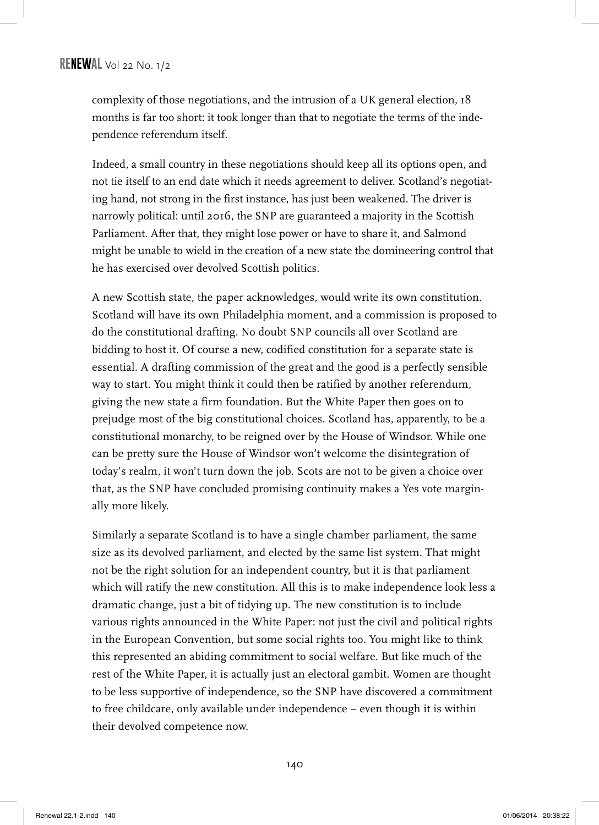complexity of those negotiations, and the intrusion of a UK general election, 18 months is far too short: it took longer than that to negotiate the terms of the independence referendum itself.

Indeed, a small country in these negotiations should keep all its options open, and not tie itself to an end date which it needs agreement to deliver. Scotland's negotiating hand, not strong in the first instance, has just been weakened. The driver is narrowly political: until 2016, the SNP are guaranteed a majority in the Scottish Parliament. After that, they might lose power or have to share it, and Salmond might be unable to wield in the creation of a new state the domineering control that he has exercised over devolved Scottish politics.

A new Scottish state, the paper acknowledges, would write its own constitution. Scotland will have its own Philadelphia moment, and a commission is proposed to do the constitutional drafting. No doubt SNP councils all over Scotland are bidding to host it. Of course a new, codified constitution for a separate state is essential. A drafting commission of the great and the good is a perfectly sensible way to start. You might think it could then be ratified by another referendum, giving the new state a firm foundation. But the White Paper then goes on to prejudge most of the big constitutional choices. Scotland has, apparently, to be a constitutional monarchy, to be reigned over by the House of Windsor. While one can be pretty sure the House of Windsor won't welcome the disintegration of today's realm, it won't turn down the job. Scots are not to be given a choice over that, as the SNP have concluded promising continuity makes a Yes vote marginally more likely.

Similarly a separate Scotland is to have a single chamber parliament, the same size as its devolved parliament, and elected by the same list system. That might not be the right solution for an independent country, but it is that parliament which will ratify the new constitution. All this is to make independence look less a dramatic change, just a bit of tidying up. The new constitution is to include various rights announced in the White Paper: not just the civil and political rights in the European Convention, but some social rights too. You might like to think this represented an abiding commitment to social welfare. But like much of the rest of the White Paper, it is actually just an electoral gambit. Women are thought to be less supportive of independence, so the SNP have discovered a commitment to free childcare, only available under independence – even though it is within their devolved competence now.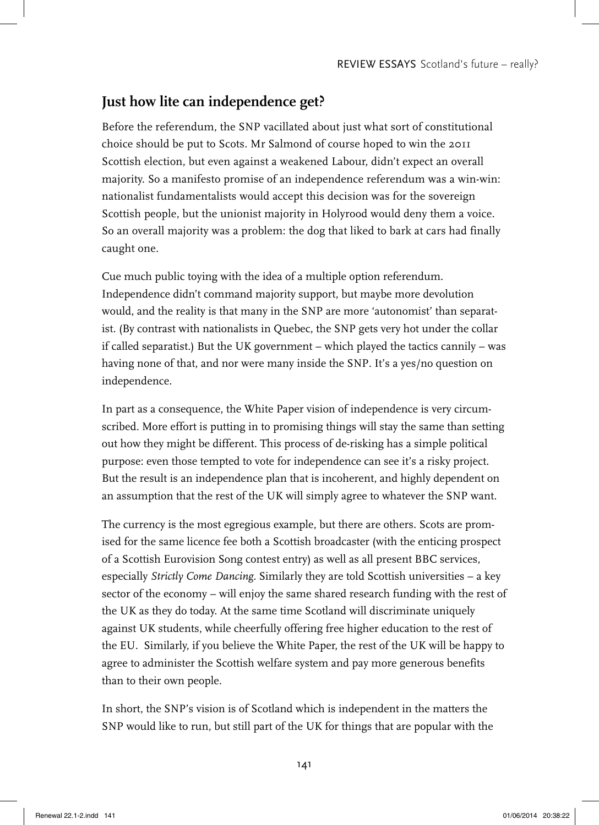## **Just how lite can independence get?**

Before the referendum, the SNP vacillated about just what sort of constitutional choice should be put to Scots. Mr Salmond of course hoped to win the 2011 Scottish election, but even against a weakened Labour, didn't expect an overall majority. So a manifesto promise of an independence referendum was a win-win: nationalist fundamentalists would accept this decision was for the sovereign Scottish people, but the unionist majority in Holyrood would deny them a voice. So an overall majority was a problem: the dog that liked to bark at cars had finally caught one.

Cue much public toying with the idea of a multiple option referendum. Independence didn't command majority support, but maybe more devolution would, and the reality is that many in the SNP are more 'autonomist' than separatist. (By contrast with nationalists in Quebec, the SNP gets very hot under the collar if called separatist.) But the UK government – which played the tactics cannily – was having none of that, and nor were many inside the SNP. It's a yes/no question on independence.

In part as a consequence, the White Paper vision of independence is very circumscribed. More effort is putting in to promising things will stay the same than setting out how they might be different. This process of de-risking has a simple political purpose: even those tempted to vote for independence can see it's a risky project. But the result is an independence plan that is incoherent, and highly dependent on an assumption that the rest of the UK will simply agree to whatever the SNP want.

The currency is the most egregious example, but there are others. Scots are promised for the same licence fee both a Scottish broadcaster (with the enticing prospect of a Scottish Eurovision Song contest entry) as well as all present BBC services, especially *Strictly Come Dancing*. Similarly they are told Scottish universities – a key sector of the economy – will enjoy the same shared research funding with the rest of the UK as they do today. At the same time Scotland will discriminate uniquely against UK students, while cheerfully offering free higher education to the rest of the EU. Similarly, if you believe the White Paper, the rest of the UK will be happy to agree to administer the Scottish welfare system and pay more generous benefits than to their own people.

In short, the SNP's vision is of Scotland which is independent in the matters the SNP would like to run, but still part of the UK for things that are popular with the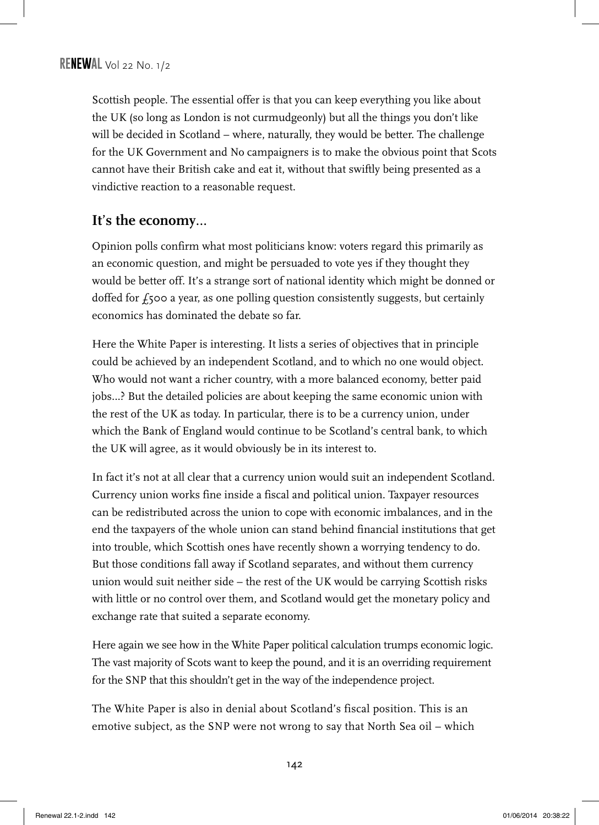Scottish people. The essential offer is that you can keep everything you like about the UK (so long as London is not curmudgeonly) but all the things you don't like will be decided in Scotland – where, naturally, they would be better. The challenge for the UK Government and No campaigners is to make the obvious point that Scots cannot have their British cake and eat it, without that swiftly being presented as a vindictive reaction to a reasonable request.

### **It**'**s the economy**…

Opinion polls confirm what most politicians know: voters regard this primarily as an economic question, and might be persuaded to vote yes if they thought they would be better off. It's a strange sort of national identity which might be donned or doffed for  $f_5$ 00 a year, as one polling question consistently suggests, but certainly economics has dominated the debate so far.

Here the White Paper is interesting. It lists a series of objectives that in principle could be achieved by an independent Scotland, and to which no one would object. Who would not want a richer country, with a more balanced economy, better paid jobs…? But the detailed policies are about keeping the same economic union with the rest of the UK as today. In particular, there is to be a currency union, under which the Bank of England would continue to be Scotland's central bank, to which the UK will agree, as it would obviously be in its interest to.

In fact it's not at all clear that a currency union would suit an independent Scotland. Currency union works fine inside a fiscal and political union. Taxpayer resources can be redistributed across the union to cope with economic imbalances, and in the end the taxpayers of the whole union can stand behind financial institutions that get into trouble, which Scottish ones have recently shown a worrying tendency to do. But those conditions fall away if Scotland separates, and without them currency union would suit neither side – the rest of the UK would be carrying Scottish risks with little or no control over them, and Scotland would get the monetary policy and exchange rate that suited a separate economy.

Here again we see how in the White Paper political calculation trumps economic logic. The vast majority of Scots want to keep the pound, and it is an overriding requirement for the SNP that this shouldn't get in the way of the independence project.

The White Paper is also in denial about Scotland's fiscal position. This is an emotive subject, as the SNP were not wrong to say that North Sea oil – which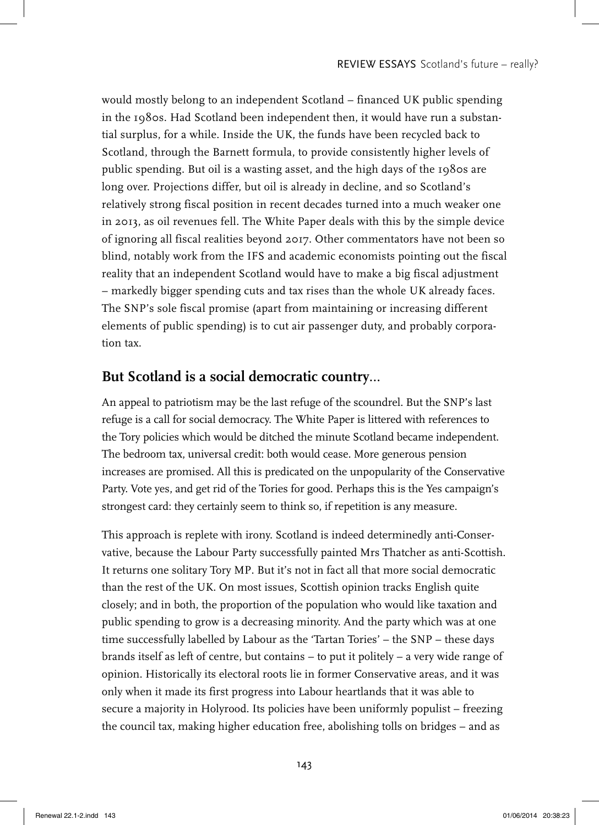would mostly belong to an independent Scotland – financed UK public spending in the 1980s. Had Scotland been independent then, it would have run a substantial surplus, for a while. Inside the UK, the funds have been recycled back to Scotland, through the Barnett formula, to provide consistently higher levels of public spending. But oil is a wasting asset, and the high days of the 1980s are long over. Projections differ, but oil is already in decline, and so Scotland's relatively strong fiscal position in recent decades turned into a much weaker one in 2013, as oil revenues fell. The White Paper deals with this by the simple device of ignoring all fiscal realities beyond 2017. Other commentators have not been so blind, notably work from the IFS and academic economists pointing out the fiscal reality that an independent Scotland would have to make a big fiscal adjustment – markedly bigger spending cuts and tax rises than the whole UK already faces. The SNP's sole fiscal promise (apart from maintaining or increasing different elements of public spending) is to cut air passenger duty, and probably corporation tax.

#### **But Scotland is a social democratic country**…

An appeal to patriotism may be the last refuge of the scoundrel. But the SNP's last refuge is a call for social democracy. The White Paper is littered with references to the Tory policies which would be ditched the minute Scotland became independent. The bedroom tax, universal credit: both would cease. More generous pension increases are promised. All this is predicated on the unpopularity of the Conservative Party. Vote yes, and get rid of the Tories for good. Perhaps this is the Yes campaign's strongest card: they certainly seem to think so, if repetition is any measure.

This approach is replete with irony. Scotland is indeed determinedly anti-Conservative, because the Labour Party successfully painted Mrs Thatcher as anti-Scottish. It returns one solitary Tory MP. But it's not in fact all that more social democratic than the rest of the UK. On most issues, Scottish opinion tracks English quite closely; and in both, the proportion of the population who would like taxation and public spending to grow is a decreasing minority. And the party which was at one time successfully labelled by Labour as the 'Tartan Tories' – the SNP – these days brands itself as left of centre, but contains – to put it politely – a very wide range of opinion. Historically its electoral roots lie in former Conservative areas, and it was only when it made its first progress into Labour heartlands that it was able to secure a majority in Holyrood. Its policies have been uniformly populist – freezing the council tax, making higher education free, abolishing tolls on bridges – and as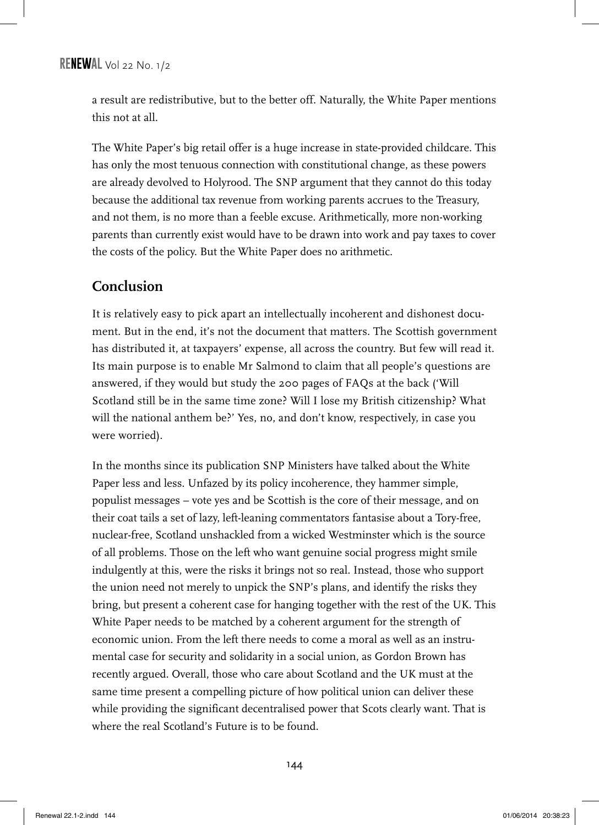a result are redistributive, but to the better off. Naturally, the White Paper mentions this not at all.

The White Paper's big retail offer is a huge increase in state-provided childcare. This has only the most tenuous connection with constitutional change, as these powers are already devolved to Holyrood. The SNP argument that they cannot do this today because the additional tax revenue from working parents accrues to the Treasury, and not them, is no more than a feeble excuse. Arithmetically, more non-working parents than currently exist would have to be drawn into work and pay taxes to cover the costs of the policy. But the White Paper does no arithmetic.

## **Conclusion**

It is relatively easy to pick apart an intellectually incoherent and dishonest document. But in the end, it's not the document that matters. The Scottish government has distributed it, at taxpayers' expense, all across the country. But few will read it. Its main purpose is to enable Mr Salmond to claim that all people's questions are answered, if they would but study the 200 pages of FAQs at the back ('Will Scotland still be in the same time zone? Will I lose my British citizenship? What will the national anthem be?' Yes, no, and don't know, respectively, in case you were worried).

In the months since its publication SNP Ministers have talked about the White Paper less and less. Unfazed by its policy incoherence, they hammer simple, populist messages – vote yes and be Scottish is the core of their message, and on their coat tails a set of lazy, left-leaning commentators fantasise about a Tory-free, nuclear-free, Scotland unshackled from a wicked Westminster which is the source of all problems. Those on the left who want genuine social progress might smile indulgently at this, were the risks it brings not so real. Instead, those who support the union need not merely to unpick the SNP's plans, and identify the risks they bring, but present a coherent case for hanging together with the rest of the UK. This White Paper needs to be matched by a coherent argument for the strength of economic union. From the left there needs to come a moral as well as an instrumental case for security and solidarity in a social union, as Gordon Brown has recently argued. Overall, those who care about Scotland and the UK must at the same time present a compelling picture of how political union can deliver these while providing the significant decentralised power that Scots clearly want. That is where the real Scotland's Future is to be found.